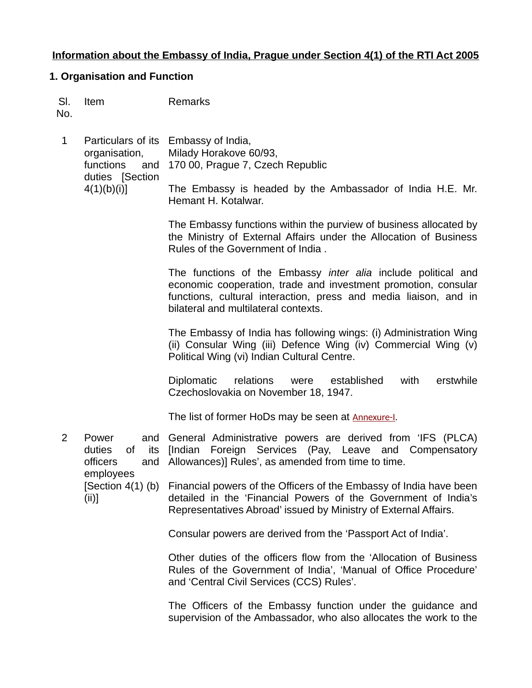## **Information about the Embassy of India, Prague under Section 4(1) of the RTI Act 2005**

#### **1. Organisation and Function**

|     | SI. Item | Remarks |
|-----|----------|---------|
| No. |          |         |

1 Particulars of its Embassy of India, organisation, functions duties [Section  $4(1)(b)(i)$ ] Milady Horakove 60/93, and 170 00, Prague 7, Czech Republic The Embassy is headed by the Ambassador of India H.E. Mr. Hemant H. Kotalwar.

> The Embassy functions within the purview of business allocated by the Ministry of External Affairs under the Allocation of Business Rules of the Government of India .

> The functions of the Embassy *inter alia* include political and economic cooperation, trade and investment promotion, consular functions, cultural interaction, press and media liaison, and in bilateral and multilateral contexts.

> The Embassy of India has following wings: (i) Administration Wing (ii) Consular Wing (iii) Defence Wing (iv) Commercial Wing (v) Political Wing (vi) Indian Cultural Centre.

> Diplomatic relations were established with erstwhile Czechoslovakia on November 18, 1947.

The list of former HoDs may be seen at [Annexure-I](https://www.eoiprague.gov.in/docs/1627469138Former%20Ambassadors%20of%20India%20to%20Czechoslovakia%20and%20the%20Czech%20Republic.pdf).

2 Power duties officers employees [Section 4(1) (b) Financial powers of the Officers of the Embassy of India have been (ii)] General Administrative powers are derived from 'IFS (PLCA) of its [Indian Foreign Services (Pay, Leave and Compensatory Allowances)] Rules', as amended from time to time.

detailed in the 'Financial Powers of the Government of India's Representatives Abroad' issued by Ministry of External Affairs.

Consular powers are derived from the 'Passport Act of India'.

Other duties of the officers flow from the 'Allocation of Business Rules of the Government of India', 'Manual of Office Procedure' and 'Central Civil Services (CCS) Rules'.

The Officers of the Embassy function under the guidance and supervision of the Ambassador, who also allocates the work to the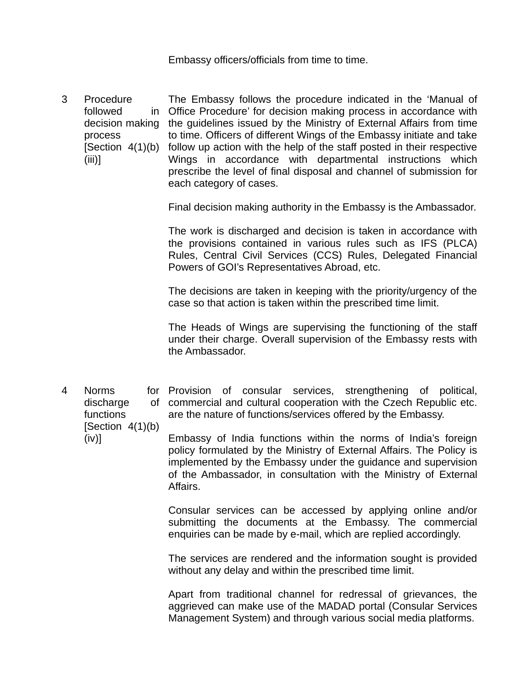Embassy officers/officials from time to time.

3 Procedure followed decision making the guidelines issued by the Ministry of External Affairs from time process [Section  $4(1)(b)$ (iii)] The Embassy follows the procedure indicated in the 'Manual of Office Procedure' for decision making process in accordance with to time. Officers of different Wings of the Embassy initiate and take follow up action with the help of the staff posted in their respective Wings in accordance with departmental instructions which prescribe the level of final disposal and channel of submission for each category of cases.

Final decision making authority in the Embassy is the Ambassador.

The work is discharged and decision is taken in accordance with the provisions contained in various rules such as IFS (PLCA) Rules, Central Civil Services (CCS) Rules, Delegated Financial Powers of GOI's Representatives Abroad, etc.

The decisions are taken in keeping with the priority/urgency of the case so that action is taken within the prescribed time limit.

The Heads of Wings are supervising the functioning of the staff under their charge. Overall supervision of the Embassy rests with the Ambassador.

4 Norms discharge functions for Provision of consular services, strengthening of political, commercial and cultural cooperation with the Czech Republic etc. are the nature of functions/services offered by the Embassy.

> Embassy of India functions within the norms of India's foreign policy formulated by the Ministry of External Affairs. The Policy is implemented by the Embassy under the guidance and supervision of the Ambassador, in consultation with the Ministry of External Affairs.

Consular services can be accessed by applying online and/or submitting the documents at the Embassy. The commercial enquiries can be made by e-mail, which are replied accordingly.

The services are rendered and the information sought is provided without any delay and within the prescribed time limit.

Apart from traditional channel for redressal of grievances, the aggrieved can make use of the MADAD portal (Consular Services Management System) and through various social media platforms.

 $[Section 4(1)(b)]$ (iv)]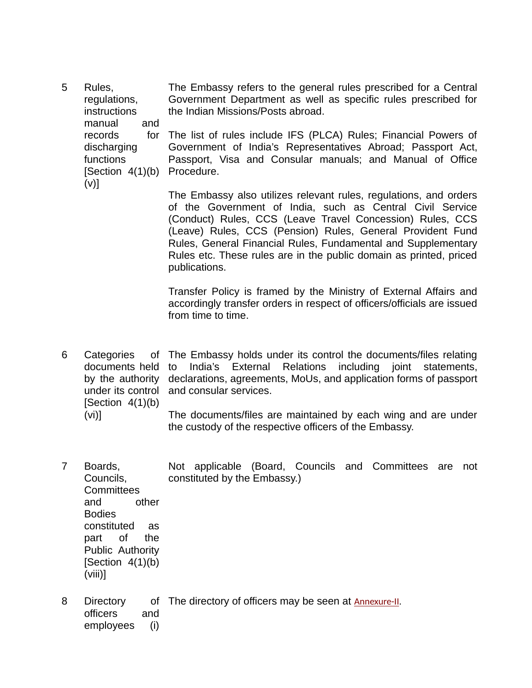5 Rules, regulations, instructions manual and records discharging functions [Section 4(1)(b) Procedure. (v)] The Embassy refers to the general rules prescribed for a Central Government Department as well as specific rules prescribed for the Indian Missions/Posts abroad. The list of rules include IFS (PLCA) Rules; Financial Powers of Government of India's Representatives Abroad; Passport Act, Passport, Visa and Consular manuals; and Manual of Office

> The Embassy also utilizes relevant rules, regulations, and orders of the Government of India, such as Central Civil Service (Conduct) Rules, CCS (Leave Travel Concession) Rules, CCS (Leave) Rules, CCS (Pension) Rules, General Provident Fund Rules, General Financial Rules, Fundamental and Supplementary Rules etc. These rules are in the public domain as printed, priced publications.

> Transfer Policy is framed by the Ministry of External Affairs and accordingly transfer orders in respect of officers/officials are issued from time to time.

- 6 Categories documents held by the authority declarations, agreements, MoUs, and application forms of passport under its control and consular services.  $[Section 4(1)(b)]$ (vi)] The Embassy holds under its control the documents/files relating India's External Relations including joint statements, The documents/files are maintained by each wing and are under the custody of the respective officers of the Embassy.
- 7 Boards, Councils, **Committees** and other Bodies constituted as part of the Public Authority [Section  $4(1)(b)$ ] (viii)] Not applicable (Board, Councils and Committees are not constituted by the Embassy.)
- 8 Directory officers and employees (i) of The directory of officers may be seen at **Annexure-II**.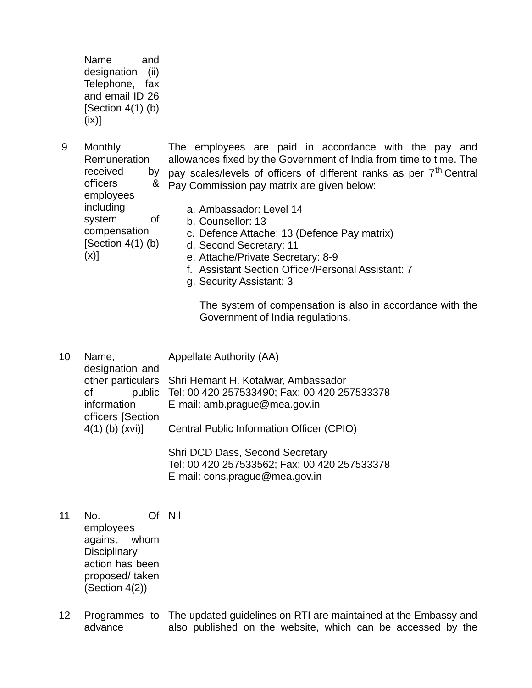Name and designation (ii) Telephone, fax and email ID 26  $[Section 4(1) (b)]$  $(ix)]$ 

including

(x)]

system of compensation  $[Section 4(1) (b)]$ 

- 9 Monthly Remuneration received officers & employees The employees are paid in accordance with the pay and allowances fixed by the Government of India from time to time. The by pay scales/levels of officers of different ranks as per  $7<sup>th</sup>$  Central  $\&$  Pay Commission pay matrix are given below:
	- a. Ambassador: Level 14
	- b. Counsellor: 13
		- c. Defence Attache: 13 (Defence Pay matrix)
	- d. Second Secretary: 11
	- e. Attache/Private Secretary: 8-9
	- f. Assistant Section Officer/Personal Assistant: 7
	- g. Security Assistant: 3

The system of compensation is also in accordance with the Government of India regulations.

10 Name, designation and other particulars Shri Hemant H. Kotalwar, Ambassador of public Tel: 00 420 257533490; Fax: 00 420 257533378 information officers [Section 4(1) (b) (xvi)] Appellate Authority (AA) E-mail: amb.prague@mea.gov.in Central Public Information Officer (CPIO) Shri DCD Dass, Second Secretary

Tel: 00 420 257533562; Fax: 00 420 257533378 E-mail: cons.prague@mea.gov.in

- 11 No. employees against whom **Disciplinary** action has been proposed/ taken (Section 4(2)) Of Nil
- 12 Programmes to The updated guidelines on RTI are maintained at the Embassy and advance also published on the website, which can be accessed by the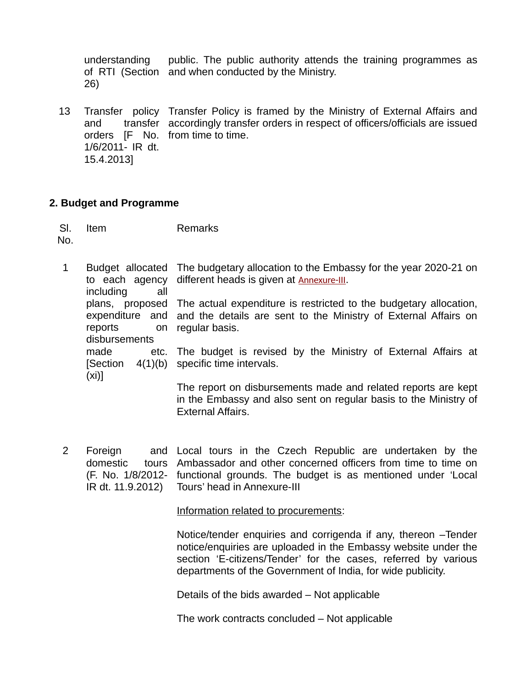understanding of RTI (Section and when conducted by the Ministry. 26) public. The public authority attends the training programmes as

13 Transfer policy Transfer Policy is framed by the Ministry of External Affairs and and transfer accordingly transfer orders in respect of officers/officials are issued orders [F No. from time to time. 1/6/2011- IR dt. 15.4.2013]

## **2. Budget and Programme**

Sl. No. Item Remarks

- 1 Budget allocated The budgetary allocation to the Embassy for the year 2020-21 on to each agency different heads is given at [Annexure-III](https://www.eoiprague.gov.in/docs/1648560895Annexure-III.pdf). including all plans, proposed The actual expenditure is restricted to the budgetary allocation, expenditure and and the details are sent to the Ministry of External Affairs on reports disbursements made [Section 4(1)(b) specific time intervals. (xi)] on regular basis. etc. The budget is revised by the Ministry of External Affairs at The report on disbursements made and related reports are kept in the Embassy and also sent on regular basis to the Ministry of
- 2 Foreign domestic (F. No. 1/8/2012- functional grounds. The budget is as mentioned under 'Local IR dt. 11.9.2012) Local tours in the Czech Republic are undertaken by the tours Ambassador and other concerned officers from time to time on Tours' head in Annexure-III

Information related to procurements:

External Affairs.

Notice/tender enquiries and corrigenda if any, thereon –Tender notice/enquiries are uploaded in the Embassy website under the section 'E-citizens/Tender' for the cases, referred by various departments of the Government of India, for wide publicity.

Details of the bids awarded – Not applicable

The work contracts concluded – Not applicable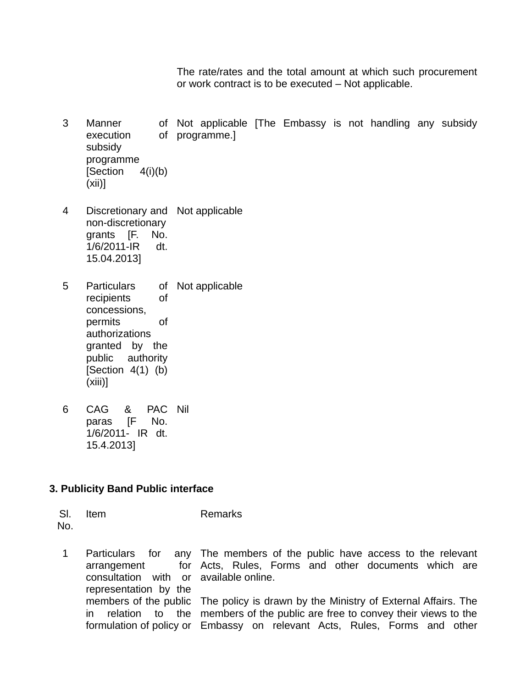The rate/rates and the total amount at which such procurement or work contract is to be executed – Not applicable.

- 3 Manner execution subsidy programme  $[Section 4(i)(b)]$ (xii)] Not applicable [The Embassy is not handling any subsidy of programme.]
- 4 Discretionary and Not applicable non-discretionary grants [F. No. 1/6/2011-IR dt. 15.04.2013]
- 5 Particulars recipients of concessions, permits of authorizations granted by the public authority  $[Section 4(1) (b)]$  $(xiii)$ ] of Not applicable
- 6 CAG & paras [F No. 1/6/2011- IR dt. 15.4.2013] PAC Nil

## **3. Publicity Band Public interface**

Sl. No. Item Remarks

1 Particulars for arrangement consultation with or available online. representation by the members of the public The policy is drawn by the Ministry of External Affairs. The in relation to the members of the public are free to convey their views to the formulation of policy or Embassy on relevant Acts, Rules, Forms and otherany The members of the public have access to the relevant for Acts, Rules, Forms and other documents which are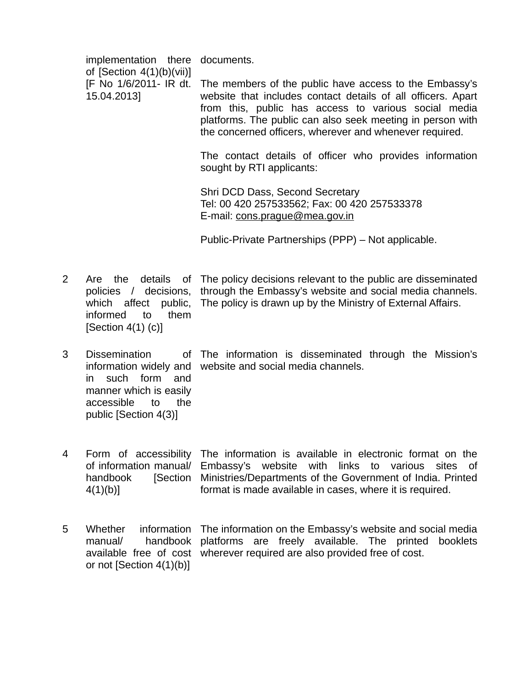|   | implementation there                                                                  | documents.                                                                                                                                                                                                                                                                                              |
|---|---------------------------------------------------------------------------------------|---------------------------------------------------------------------------------------------------------------------------------------------------------------------------------------------------------------------------------------------------------------------------------------------------------|
|   | of [Section $4(1)(b)(vi)$ ]<br>[F No 1/6/2011- IR dt.<br>15.04.2013]                  | The members of the public have access to the Embassy's<br>website that includes contact details of all officers. Apart<br>from this, public has access to various social media<br>platforms. The public can also seek meeting in person with<br>the concerned officers, wherever and whenever required. |
|   |                                                                                       | The contact details of officer who provides information<br>sought by RTI applicants:                                                                                                                                                                                                                    |
|   |                                                                                       | Shri DCD Dass, Second Secretary<br>Tel: 00 420 257533562; Fax: 00 420 257533378<br>E-mail: cons.prague@mea.gov.in                                                                                                                                                                                       |
|   |                                                                                       | Public-Private Partnerships (PPP) – Not applicable.                                                                                                                                                                                                                                                     |
| 2 | the<br>Are<br>policies / decisions,<br>informed<br>to<br>them<br>[Section $4(1)$ (c)] | details of The policy decisions relevant to the public are disseminated<br>through the Embassy's website and social media channels.<br>which affect public, The policy is drawn up by the Ministry of External Affairs.                                                                                 |
|   |                                                                                       |                                                                                                                                                                                                                                                                                                         |

3 Dissemination in such form and manner which is easily accessible to the public [Section 4(3)]

information widely and website and social media channels. The information is disseminated through the Mission's

- 4 Form of accessibility The information is available in electronic format on the of information manual/ Embassy's website with links to various sites of handbook  $4(1)(b)$ ] [Section Ministries/Departments of the Government of India. Printed format is made available in cases, where it is required.
- 5 Whether information The information on the Embassy's website and social media manual/ handbook platforms are freely available. The printed booklets available free of cost wherever required are also provided free of cost.or not [Section 4(1)(b)]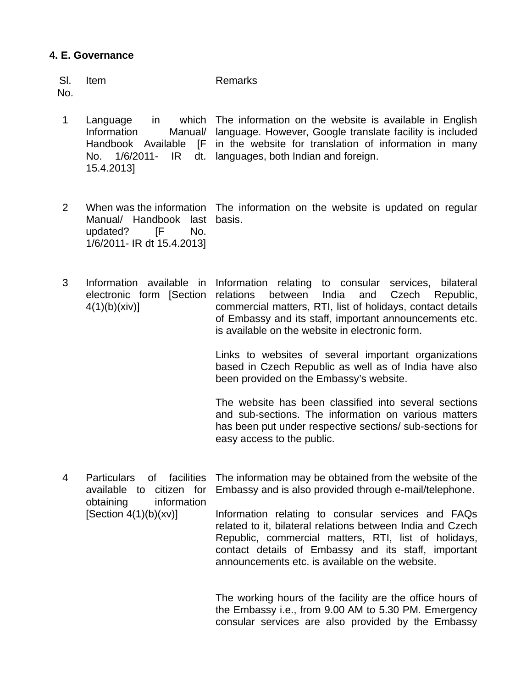### **4. E. Governance**

| Remarks |
|---------|
|         |

No.

- 1 Language in **Information** Handbook Available [F in the website for translation of information in many No. 1/6/2011- IR 15.4.2013] which The information on the website is available in English Manual/ language. However, Google translate facility is included dt. languages, both Indian and foreign.
- 2 When was the information The information on the website is updated on regular Manual/ Handbook last basis. updated? [F No. 1/6/2011- IR dt 15.4.2013]
- 3 Information available in Information relating to consular services, bilateral electronic form [Section relations between India and Czech Republic,  $4(1)(b)(xiv)$ ] commercial matters, RTI, list of holidays, contact details of Embassy and its staff, important announcements etc. is available on the website in electronic form.

Links to websites of several important organizations based in Czech Republic as well as of India have also been provided on the Embassy's website.

The website has been classified into several sections and sub-sections. The information on various matters has been put under respective sections/ sub-sections for easy access to the public.

4 Particulars of facilities available to citizen for obtaining information [Section  $4(1)(b)(xv)$ ] The information may be obtained from the website of the Embassy and is also provided through e-mail/telephone. Information relating to consular services and FAQs related to it, bilateral relations between India and Czech Republic, commercial matters, RTI, list of holidays,

> The working hours of the facility are the office hours of the Embassy i.e., from 9.00 AM to 5.30 PM. Emergency consular services are also provided by the Embassy

> contact details of Embassy and its staff, important

announcements etc. is available on the website.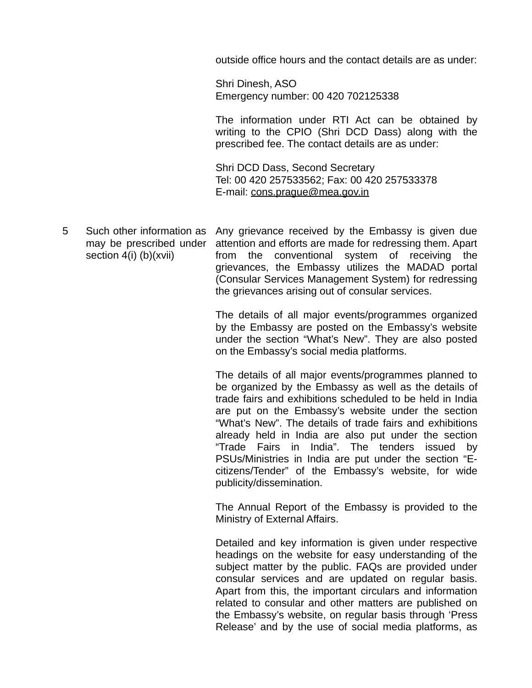outside office hours and the contact details are as under:

Shri Dinesh, ASO Emergency number: 00 420 702125338

The information under RTI Act can be obtained by writing to the CPIO (Shri DCD Dass) along with the prescribed fee. The contact details are as under:

Shri DCD Dass, Second Secretary Tel: 00 420 257533562; Fax: 00 420 257533378 E-mail: cons.prague@mea.gov.in

5 Such other information as Any grievance received by the Embassy is given due may be prescribed under attention and efforts are made for redressing them. Apart section 4(i) (b)(xvii) from the conventional system of receiving the grievances, the Embassy utilizes the MADAD portal (Consular Services Management System) for redressing the grievances arising out of consular services.

> The details of all major events/programmes organized by the Embassy are posted on the Embassy's website under the section "What's New". They are also posted on the Embassy's social media platforms.

> The details of all major events/programmes planned to be organized by the Embassy as well as the details of trade fairs and exhibitions scheduled to be held in India are put on the Embassy's website under the section "What's New". The details of trade fairs and exhibitions already held in India are also put under the section "Trade Fairs in India". The tenders issued by PSUs/Ministries in India are put under the section "Ecitizens/Tender" of the Embassy's website, for wide publicity/dissemination.

> The Annual Report of the Embassy is provided to the Ministry of External Affairs.

> Detailed and key information is given under respective headings on the website for easy understanding of the subject matter by the public. FAQs are provided under consular services and are updated on regular basis. Apart from this, the important circulars and information related to consular and other matters are published on the Embassy's website, on regular basis through 'Press Release' and by the use of social media platforms, as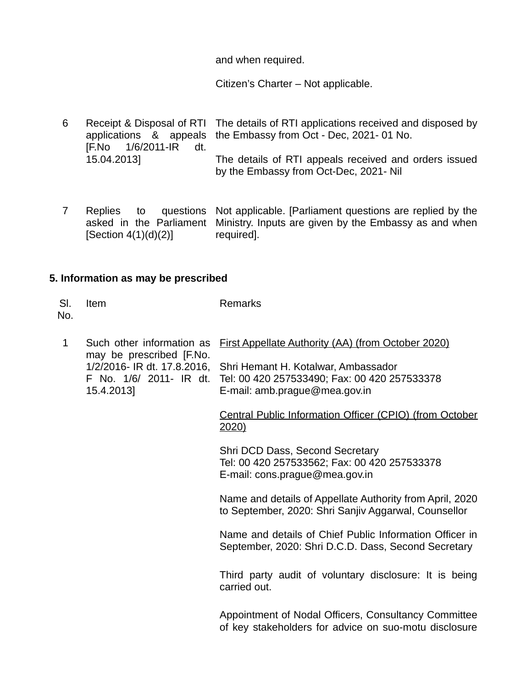and when required.

Citizen's Charter – Not applicable.

- 6 Receipt & Disposal of RTI The details of RTI applications received and disposed by applications & appeals the Embassy from Oct - Dec, 2021- 01 No. [F.No 1/6/2011-IR dt. 15.04.2013] The details of RTI appeals received and orders issued by the Embassy from Oct-Dec, 2021- Nil
- 7 Replies to questions Not applicable. [Parliament questions are replied by the asked in the Parliament Ministry. Inputs are given by the Embassy as and when [Section 4(1)(d)(2)] required].

# **5. Information as may be prescribed**

| SI.<br>No.   | Item                                                                                                                          | <b>Remarks</b>                                                                                                       |
|--------------|-------------------------------------------------------------------------------------------------------------------------------|----------------------------------------------------------------------------------------------------------------------|
| $\mathbf{1}$ | Such other information as<br>may be prescribed [F.No.<br>1/2/2016- IR dt. 17.8.2016,<br>F No. 1/6/ 2011- IR dt.<br>15.4.2013] | <b>First Appellate Authority (AA) (from October 2020)</b>                                                            |
|              |                                                                                                                               | Shri Hemant H. Kotalwar, Ambassador<br>Tel: 00 420 257533490; Fax: 00 420 257533378<br>E-mail: amb.prague@mea.gov.in |
|              |                                                                                                                               | Central Public Information Officer (CPIO) (from October<br>2020)                                                     |
|              |                                                                                                                               | Shri DCD Dass, Second Secretary<br>Tel: 00 420 257533562; Fax: 00 420 257533378<br>E-mail: cons.prague@mea.gov.in    |
|              |                                                                                                                               | Name and details of Appellate Authority from April, 2020<br>to September, 2020: Shri Sanjiv Aggarwal, Counsellor     |
|              |                                                                                                                               | Name and details of Chief Public Information Officer in<br>September, 2020: Shri D.C.D. Dass, Second Secretary       |
|              |                                                                                                                               | Third party audit of voluntary disclosure: It is being<br>carried out.                                               |
|              |                                                                                                                               | Appointment of Nodal Officers, Consultancy Committee<br>of key stakeholders for advice on suo-motu disclosure        |